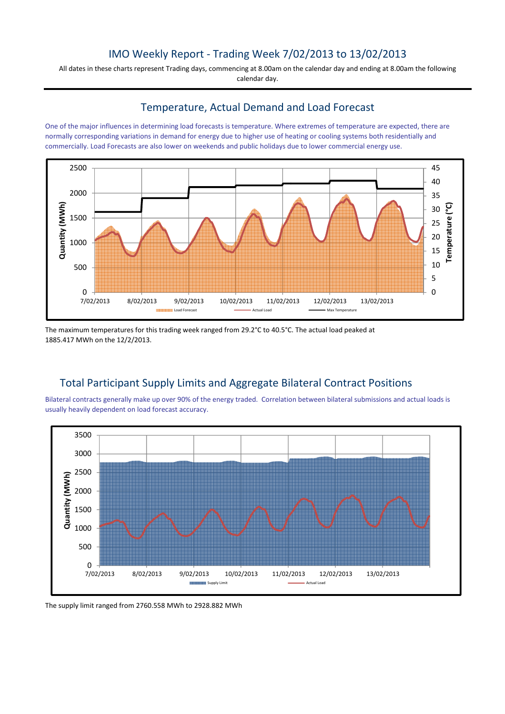### IMO Weekly Report - Trading Week 7/02/2013 to 13/02/2013

All dates in these charts represent Trading days, commencing at 8.00am on the calendar day and ending at 8.00am the following calendar day.

#### Temperature, Actual Demand and Load Forecast

One of the major influences in determining load forecasts is temperature. Where extremes of temperature are expected, there are normally corresponding variations in demand for energy due to higher use of heating or cooling systems both residentially and commercially. Load Forecasts are also lower on weekends and public holidays due to lower commercial energy use.



The maximum temperatures for this trading week ranged from 29.2°C to 40.5°C. The actual load peaked at 1885.417 MWh on the 12/2/2013.

### Total Participant Supply Limits and Aggregate Bilateral Contract Positions

Bilateral contracts generally make up over 90% of the energy traded. Correlation between bilateral submissions and actual loads is usually heavily dependent on load forecast accuracy.



The supply limit ranged from 2760.558 MWh to 2928.882 MWh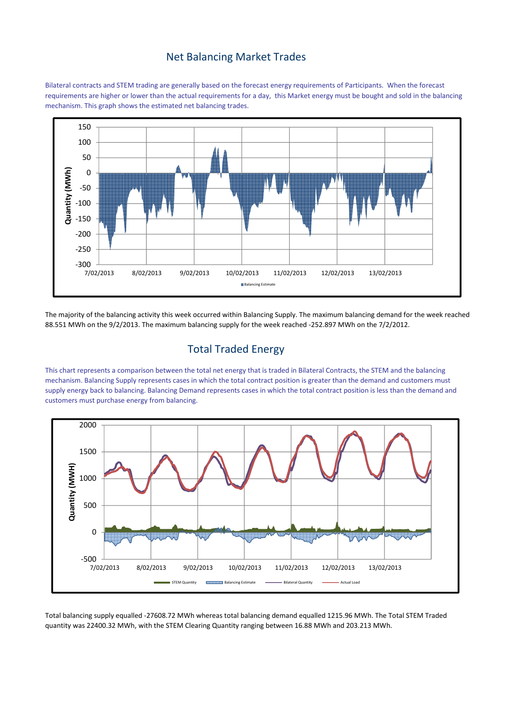### Net Balancing Market Trades

Bilateral contracts and STEM trading are generally based on the forecast energy requirements of Participants. When the forecast requirements are higher or lower than the actual requirements for a day, this Market energy must be bought and sold in the balancing mechanism. This graph shows the estimated net balancing trades.



The majority of the balancing activity this week occurred within Balancing Supply. The maximum balancing demand for the week reached 88.551 MWh on the 9/2/2013. The maximum balancing supply for the week reached -252.897 MWh on the 7/2/2012.

# Total Traded Energy

This chart represents a comparison between the total net energy that is traded in Bilateral Contracts, the STEM and the balancing mechanism. Balancing Supply represents cases in which the total contract position is greater than the demand and customers must supply energy back to balancing. Balancing Demand represents cases in which the total contract position is less than the demand and customers must purchase energy from balancing.



Total balancing supply equalled -27608.72 MWh whereas total balancing demand equalled 1215.96 MWh. The Total STEM Traded quantity was 22400.32 MWh, with the STEM Clearing Quantity ranging between 16.88 MWh and 203.213 MWh.